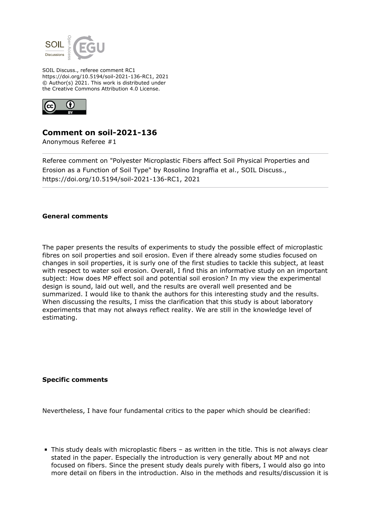

SOIL Discuss., referee comment RC1 https://doi.org/10.5194/soil-2021-136-RC1, 2021 © Author(s) 2021. This work is distributed under the Creative Commons Attribution 4.0 License.



## **Comment on soil-2021-136**

Anonymous Referee #1

Referee comment on "Polyester Microplastic Fibers affect Soil Physical Properties and Erosion as a Function of Soil Type" by Rosolino Ingraffia et al., SOIL Discuss., https://doi.org/10.5194/soil-2021-136-RC1, 2021

## **General comments**

The paper presents the results of experiments to study the possible effect of microplastic fibres on soil properties and soil erosion. Even if there already some studies focused on changes in soil properties, it is surly one of the first studies to tackle this subject, at least with respect to water soil erosion. Overall, I find this an informative study on an important subject: How does MP effect soil and potential soil erosion? In my view the experimental design is sound, laid out well, and the results are overall well presented and be summarized. I would like to thank the authors for this interesting study and the results. When discussing the results, I miss the clarification that this study is about laboratory experiments that may not always reflect reality. We are still in the knowledge level of estimating.

## **Specific comments**

Nevertheless, I have four fundamental critics to the paper which should be clearified:

This study deals with microplastic fibers – as written in the title. This is not always clear stated in the paper. Especially the introduction is very generally about MP and not focused on fibers. Since the present study deals purely with fibers, I would also go into more detail on fibers in the introduction. Also in the methods and results/discussion it is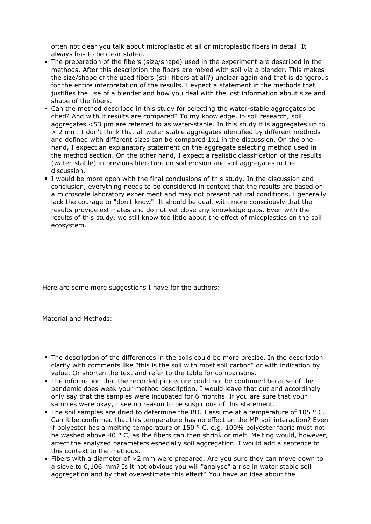often not clear you talk about microplastic at all or microplastic fibers in detail. It always has to be clear stated.

- The preparation of the fibers (size/shape) used in the experiment are described in the methods. After this description the fibers are mixed with soil via a blender. This makes the size/shape of the used fibers (still fibers at all?) unclear again and that is dangerous for the entire interpretation of the results. I expect a statement in the methods that justifies the use of a blender and how you deal with the lost information about size and shape of the fibers.
- Can the method described in this study for selecting the water-stable aggregates be cited? And with it results are compared? To my knowledge, in soil research, soil aggregates <53 µm are referred to as water-stable. In this study it is aggregates up to > 2 mm. I don't think that all water stable aggregates identified by different methods and defined with different sizes can be compared 1x1 in the discussion. On the one hand, I expect an explanatory statement on the aggregate selecting method used in the method section. On the other hand, I expect a realistic classification of the results (water-stable) in previous literature on soil erosion and soil aggregates in the discussion.
- I would be more open with the final conclusions of this study. In the discussion and conclusion, everything needs to be considered in context that the results are based on a microscale laboratory experiment and may not present natural conditions. I generally lack the courage to "don't know". It should be dealt with more consciously that the results provide estimates and do not yet close any knowledge gaps. Even with the results of this study, we still know too little about the effect of micoplastics on the soil ecosystem.

Here are some more suggestions I have for the authors:

Material and Methods:

- The description of the differences in the soils could be more precise. In the description clarify with comments like "this is the soil with most soil carbon" or with indication by value. Or shorten the text and refer to the table for comparisons.
- The information that the recorded procedure could not be continued because of the pandemic does weak your method description. I would leave that out and accordingly only say that the samples were incubated for 6 months. If you are sure that your samples were okay, I see no reason to be suspicious of this statement.
- The soil samples are dried to determine the BD. I assume at a temperature of 105  $\degree$  C. Can it be confirmed that this temperature has no effect on the MP-soil interaction? Even if polyester has a melting temperature of 150 ° C, e.g. 100% polyester fabric must not be washed above 40  $\degree$  C, as the fibers can then shrink or melt. Melting would, however, affect the analyzed parameters especially soil aggregation. I would add a sentence to this context to the methods.
- Fibers with a diameter of  $>2$  mm were prepared. Are you sure they can move down to a sieve to 0,106 mm? Is it not obvious you will "analyse" a rise in water stable soil aggregation and by that overestimate this effect? You have an idea about the